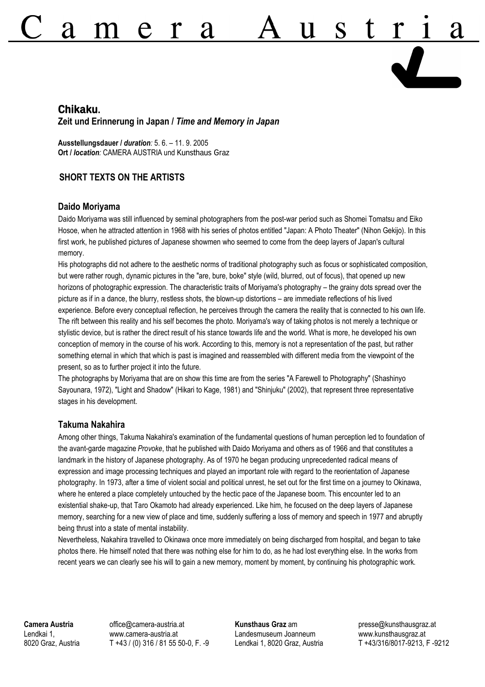# A <sup>2</sup>

## **Chikaku. Zeit und Erinnerung in Japan /** *Time and Memory in Japan*

**Ausstellungsdauer /** *duration:* 5. 6. – 11. 9. 2005 **Ort /** *location:* CAMERA AUSTRIA und Kunsthaus Graz

## **SHORT TEXTS ON THE ARTISTS**

#### **Daido Moriyama**

Daido Moriyama was still influenced by seminal photographers from the post-war period such as Shomei Tomatsu and Eiko Hosoe, when he attracted attention in 1968 with his series of photos entitled "Japan: A Photo Theater" (Nihon Gekijo). In this first work, he published pictures of Japanese showmen who seemed to come from the deep layers of Japan's cultural memory.

His photographs did not adhere to the aesthetic norms of traditional photography such as focus or sophisticated composition, but were rather rough, dynamic pictures in the "are, bure, boke" style (wild, blurred, out of focus), that opened up new horizons of photographic expression. The characteristic traits of Moriyama's photography – the grainy dots spread over the picture as if in a dance, the blurry, restless shots, the blown-up distortions – are immediate reflections of his lived experience. Before every conceptual reflection, he perceives through the camera the reality that is connected to his own life. The rift between this reality and his self becomes the photo. Moriyama's way of taking photos is not merely a technique or stylistic device, but is rather the direct result of his stance towards life and the world. What is more, he developed his own conception of memory in the course of his work. According to this, memory is not a representation of the past, but rather something eternal in which that which is past is imagined and reassembled with different media from the viewpoint of the present, so as to further project it into the future.

The photographs by Moriyama that are on show this time are from the series "A Farewell to Photography" (Shashinyo Sayounara, 1972), "Light and Shadow" (Hikari to Kage, 1981) and "Shinjuku" (2002), that represent three representative stages in his development.

### **Takuma Nakahira**

Among other things, Takuma Nakahira's examination of the fundamental questions of human perception led to foundation of the avant-garde magazine *Provoke*, that he published with Daido Moriyama and others as of 1966 and that constitutes a landmark in the history of Japanese photography. As of 1970 he began producing unprecedented radical means of expression and image processing techniques and played an important role with regard to the reorientation of Japanese photography. In 1973, after a time of violent social and political unrest, he set out for the first time on a journey to Okinawa, where he entered a place completely untouched by the hectic pace of the Japanese boom. This encounter led to an existential shake-up, that Taro Okamoto had already experienced. Like him, he focused on the deep layers of Japanese memory, searching for a new view of place and time, suddenly suffering a loss of memory and speech in 1977 and abruptly being thrust into a state of mental instability.

Nevertheless, Nakahira travelled to Okinawa once more immediately on being discharged from hospital, and began to take photos there. He himself noted that there was nothing else for him to do, as he had lost everything else. In the works from recent years we can clearly see his will to gain a new memory, moment by moment, by continuing his photographic work.

**Camera Austria** Lendkai 1, 8020 Graz, Austria office@camera-austria.at www.camera-austria.at T +43 / (0) 316 / 81 55 50-0, F. -9 **Kunsthaus Graz** am Landesmuseum Joanneum Lendkai 1, 8020 Graz, Austria presse@kunsthausgraz.at www.kunsthausgraz.at T +43/316/8017-9213, F -9212

Ν